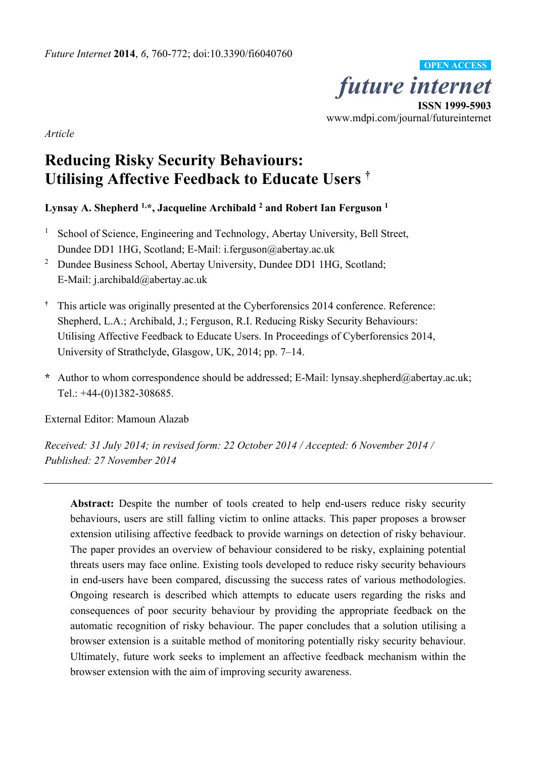*future internet*  **ISSN 1999-5903**  www.mdpi.com/journal/futureinternet **OPEN ACCESS**

*Article* 

# **Reducing Risky Security Behaviours: Utilising Affective Feedback to Educate Users †**

**Lynsay A. Shepherd 1,\*, Jacqueline Archibald 2 and Robert Ian Ferguson 1**

- <sup>1</sup> School of Science, Engineering and Technology, Abertay University, Bell Street, Dundee DD1 1HG, Scotland; E-Mail: i.ferguson@abertay.ac.uk
- <sup>2</sup> Dundee Business School, Abertay University, Dundee DD1 1HG, Scotland; E-Mail: j.archibald@abertay.ac.uk
- **†** This article was originally presented at the Cyberforensics 2014 conference. Reference: Shepherd, L.A.; Archibald, J.; Ferguson, R.I. Reducing Risky Security Behaviours: Utilising Affective Feedback to Educate Users. In Proceedings of Cyberforensics 2014, University of Strathclyde, Glasgow, UK, 2014; pp. 7–14.
- **\*** Author to whom correspondence should be addressed; E-Mail: lynsay.shepherd@abertay.ac.uk; Tel.: +44-(0)1382-308685.

External Editor: Mamoun Alazab

*Received: 31 July 2014; in revised form: 22 October 2014 / Accepted: 6 November 2014 / Published: 27 November 2014* 

Abstract: Despite the number of tools created to help end-users reduce risky security behaviours, users are still falling victim to online attacks. This paper proposes a browser extension utilising affective feedback to provide warnings on detection of risky behaviour. The paper provides an overview of behaviour considered to be risky, explaining potential threats users may face online. Existing tools developed to reduce risky security behaviours in end-users have been compared, discussing the success rates of various methodologies. Ongoing research is described which attempts to educate users regarding the risks and consequences of poor security behaviour by providing the appropriate feedback on the automatic recognition of risky behaviour. The paper concludes that a solution utilising a browser extension is a suitable method of monitoring potentially risky security behaviour. Ultimately, future work seeks to implement an affective feedback mechanism within the browser extension with the aim of improving security awareness.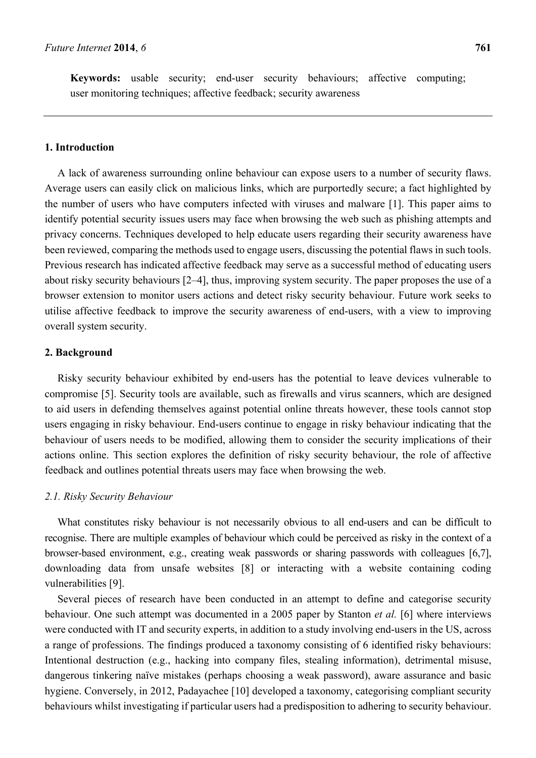# **1. Introduction**

A lack of awareness surrounding online behaviour can expose users to a number of security flaws. Average users can easily click on malicious links, which are purportedly secure; a fact highlighted by the number of users who have computers infected with viruses and malware [1]. This paper aims to identify potential security issues users may face when browsing the web such as phishing attempts and privacy concerns. Techniques developed to help educate users regarding their security awareness have been reviewed, comparing the methods used to engage users, discussing the potential flaws in such tools. Previous research has indicated affective feedback may serve as a successful method of educating users about risky security behaviours [2–4], thus, improving system security. The paper proposes the use of a browser extension to monitor users actions and detect risky security behaviour. Future work seeks to utilise affective feedback to improve the security awareness of end-users, with a view to improving overall system security.

# **2. Background**

Risky security behaviour exhibited by end-users has the potential to leave devices vulnerable to compromise [5]. Security tools are available, such as firewalls and virus scanners, which are designed to aid users in defending themselves against potential online threats however, these tools cannot stop users engaging in risky behaviour. End-users continue to engage in risky behaviour indicating that the behaviour of users needs to be modified, allowing them to consider the security implications of their actions online. This section explores the definition of risky security behaviour, the role of affective feedback and outlines potential threats users may face when browsing the web.

#### *2.1. Risky Security Behaviour*

What constitutes risky behaviour is not necessarily obvious to all end-users and can be difficult to recognise. There are multiple examples of behaviour which could be perceived as risky in the context of a browser-based environment, e.g., creating weak passwords or sharing passwords with colleagues [6,7], downloading data from unsafe websites [8] or interacting with a website containing coding vulnerabilities [9].

Several pieces of research have been conducted in an attempt to define and categorise security behaviour. One such attempt was documented in a 2005 paper by Stanton *et al.* [6] where interviews were conducted with IT and security experts, in addition to a study involving end-users in the US, across a range of professions. The findings produced a taxonomy consisting of 6 identified risky behaviours: Intentional destruction (e.g., hacking into company files, stealing information), detrimental misuse, dangerous tinkering naïve mistakes (perhaps choosing a weak password), aware assurance and basic hygiene. Conversely, in 2012, Padayachee [10] developed a taxonomy, categorising compliant security behaviours whilst investigating if particular users had a predisposition to adhering to security behaviour.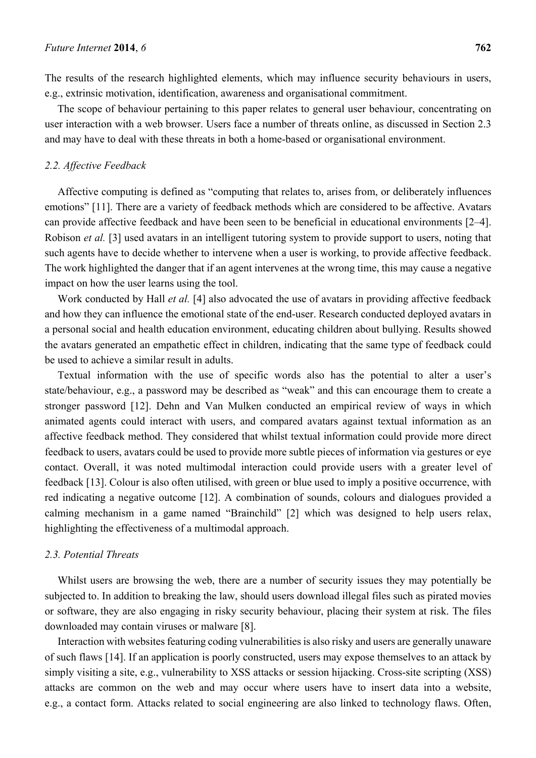The results of the research highlighted elements, which may influence security behaviours in users, e.g., extrinsic motivation, identification, awareness and organisational commitment.

The scope of behaviour pertaining to this paper relates to general user behaviour, concentrating on user interaction with a web browser. Users face a number of threats online, as discussed in Section 2.3 and may have to deal with these threats in both a home-based or organisational environment.

## *2.2. Affective Feedback*

Affective computing is defined as "computing that relates to, arises from, or deliberately influences emotions" [11]. There are a variety of feedback methods which are considered to be affective. Avatars can provide affective feedback and have been seen to be beneficial in educational environments [2–4]. Robison *et al.* [3] used avatars in an intelligent tutoring system to provide support to users, noting that such agents have to decide whether to intervene when a user is working, to provide affective feedback. The work highlighted the danger that if an agent intervenes at the wrong time, this may cause a negative impact on how the user learns using the tool.

Work conducted by Hall *et al.* [4] also advocated the use of avatars in providing affective feedback and how they can influence the emotional state of the end-user. Research conducted deployed avatars in a personal social and health education environment, educating children about bullying. Results showed the avatars generated an empathetic effect in children, indicating that the same type of feedback could be used to achieve a similar result in adults.

Textual information with the use of specific words also has the potential to alter a user's state/behaviour, e.g., a password may be described as "weak" and this can encourage them to create a stronger password [12]. Dehn and Van Mulken conducted an empirical review of ways in which animated agents could interact with users, and compared avatars against textual information as an affective feedback method. They considered that whilst textual information could provide more direct feedback to users, avatars could be used to provide more subtle pieces of information via gestures or eye contact. Overall, it was noted multimodal interaction could provide users with a greater level of feedback [13]. Colour is also often utilised, with green or blue used to imply a positive occurrence, with red indicating a negative outcome [12]. A combination of sounds, colours and dialogues provided a calming mechanism in a game named "Brainchild" [2] which was designed to help users relax, highlighting the effectiveness of a multimodal approach.

## *2.3. Potential Threats*

Whilst users are browsing the web, there are a number of security issues they may potentially be subjected to. In addition to breaking the law, should users download illegal files such as pirated movies or software, they are also engaging in risky security behaviour, placing their system at risk. The files downloaded may contain viruses or malware [8].

Interaction with websites featuring coding vulnerabilities is also risky and users are generally unaware of such flaws [14]. If an application is poorly constructed, users may expose themselves to an attack by simply visiting a site, e.g., vulnerability to XSS attacks or session hijacking. Cross-site scripting (XSS) attacks are common on the web and may occur where users have to insert data into a website, e.g., a contact form. Attacks related to social engineering are also linked to technology flaws. Often,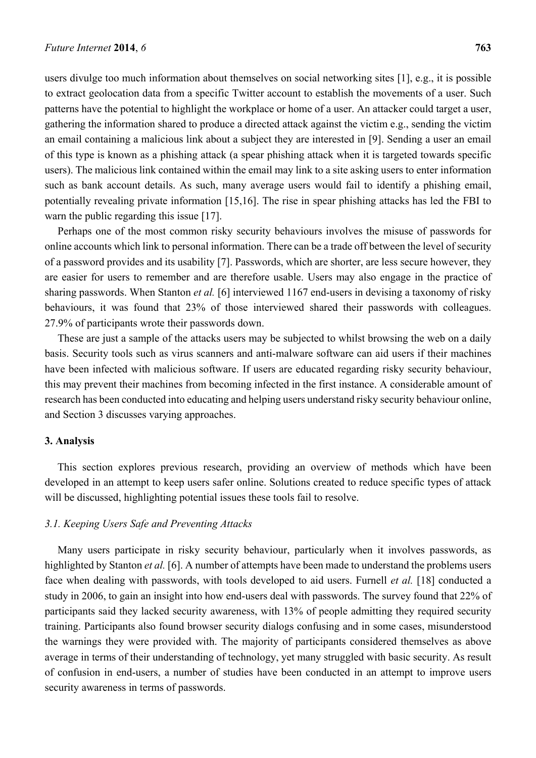users divulge too much information about themselves on social networking sites [1], e.g., it is possible to extract geolocation data from a specific Twitter account to establish the movements of a user. Such patterns have the potential to highlight the workplace or home of a user. An attacker could target a user, gathering the information shared to produce a directed attack against the victim e.g., sending the victim an email containing a malicious link about a subject they are interested in [9]. Sending a user an email of this type is known as a phishing attack (a spear phishing attack when it is targeted towards specific users). The malicious link contained within the email may link to a site asking users to enter information such as bank account details. As such, many average users would fail to identify a phishing email, potentially revealing private information [15,16]. The rise in spear phishing attacks has led the FBI to warn the public regarding this issue [17].

Perhaps one of the most common risky security behaviours involves the misuse of passwords for online accounts which link to personal information. There can be a trade off between the level of security of a password provides and its usability [7]. Passwords, which are shorter, are less secure however, they are easier for users to remember and are therefore usable. Users may also engage in the practice of sharing passwords. When Stanton *et al.* [6] interviewed 1167 end-users in devising a taxonomy of risky behaviours, it was found that 23% of those interviewed shared their passwords with colleagues. 27.9% of participants wrote their passwords down.

These are just a sample of the attacks users may be subjected to whilst browsing the web on a daily basis. Security tools such as virus scanners and anti-malware software can aid users if their machines have been infected with malicious software. If users are educated regarding risky security behaviour, this may prevent their machines from becoming infected in the first instance. A considerable amount of research has been conducted into educating and helping users understand risky security behaviour online, and Section 3 discusses varying approaches.

## **3. Analysis**

This section explores previous research, providing an overview of methods which have been developed in an attempt to keep users safer online. Solutions created to reduce specific types of attack will be discussed, highlighting potential issues these tools fail to resolve.

## *3.1. Keeping Users Safe and Preventing Attacks*

Many users participate in risky security behaviour, particularly when it involves passwords, as highlighted by Stanton *et al.* [6]. A number of attempts have been made to understand the problems users face when dealing with passwords, with tools developed to aid users. Furnell *et al.* [18] conducted a study in 2006, to gain an insight into how end-users deal with passwords. The survey found that 22% of participants said they lacked security awareness, with 13% of people admitting they required security training. Participants also found browser security dialogs confusing and in some cases, misunderstood the warnings they were provided with. The majority of participants considered themselves as above average in terms of their understanding of technology, yet many struggled with basic security. As result of confusion in end-users, a number of studies have been conducted in an attempt to improve users security awareness in terms of passwords.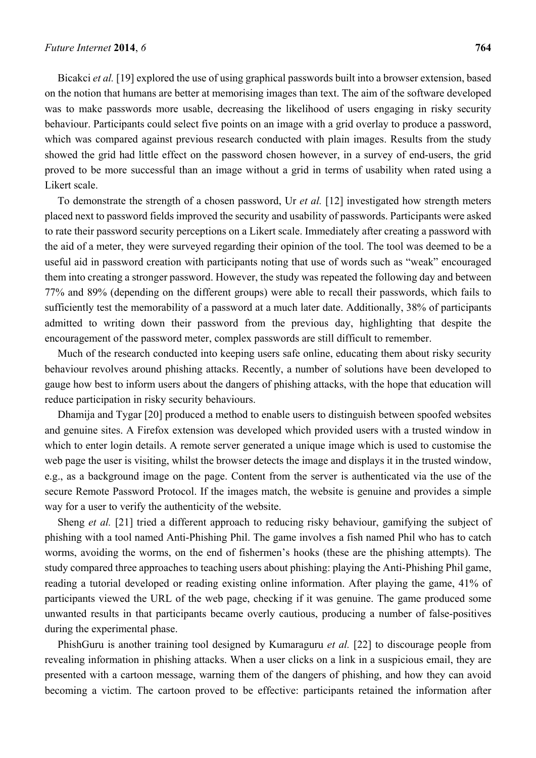Bicakci *et al.* [19] explored the use of using graphical passwords built into a browser extension, based on the notion that humans are better at memorising images than text. The aim of the software developed was to make passwords more usable, decreasing the likelihood of users engaging in risky security behaviour. Participants could select five points on an image with a grid overlay to produce a password, which was compared against previous research conducted with plain images. Results from the study showed the grid had little effect on the password chosen however, in a survey of end-users, the grid proved to be more successful than an image without a grid in terms of usability when rated using a Likert scale.

To demonstrate the strength of a chosen password, Ur *et al.* [12] investigated how strength meters placed next to password fields improved the security and usability of passwords. Participants were asked to rate their password security perceptions on a Likert scale. Immediately after creating a password with the aid of a meter, they were surveyed regarding their opinion of the tool. The tool was deemed to be a useful aid in password creation with participants noting that use of words such as "weak" encouraged them into creating a stronger password. However, the study was repeated the following day and between 77% and 89% (depending on the different groups) were able to recall their passwords, which fails to sufficiently test the memorability of a password at a much later date. Additionally, 38% of participants admitted to writing down their password from the previous day, highlighting that despite the encouragement of the password meter, complex passwords are still difficult to remember.

Much of the research conducted into keeping users safe online, educating them about risky security behaviour revolves around phishing attacks. Recently, a number of solutions have been developed to gauge how best to inform users about the dangers of phishing attacks, with the hope that education will reduce participation in risky security behaviours.

Dhamija and Tygar [20] produced a method to enable users to distinguish between spoofed websites and genuine sites. A Firefox extension was developed which provided users with a trusted window in which to enter login details. A remote server generated a unique image which is used to customise the web page the user is visiting, whilst the browser detects the image and displays it in the trusted window, e.g., as a background image on the page. Content from the server is authenticated via the use of the secure Remote Password Protocol. If the images match, the website is genuine and provides a simple way for a user to verify the authenticity of the website.

Sheng *et al.* [21] tried a different approach to reducing risky behaviour, gamifying the subject of phishing with a tool named Anti-Phishing Phil. The game involves a fish named Phil who has to catch worms, avoiding the worms, on the end of fishermen's hooks (these are the phishing attempts). The study compared three approaches to teaching users about phishing: playing the Anti-Phishing Phil game, reading a tutorial developed or reading existing online information. After playing the game, 41% of participants viewed the URL of the web page, checking if it was genuine. The game produced some unwanted results in that participants became overly cautious, producing a number of false-positives during the experimental phase.

PhishGuru is another training tool designed by Kumaraguru *et al.* [22] to discourage people from revealing information in phishing attacks. When a user clicks on a link in a suspicious email, they are presented with a cartoon message, warning them of the dangers of phishing, and how they can avoid becoming a victim. The cartoon proved to be effective: participants retained the information after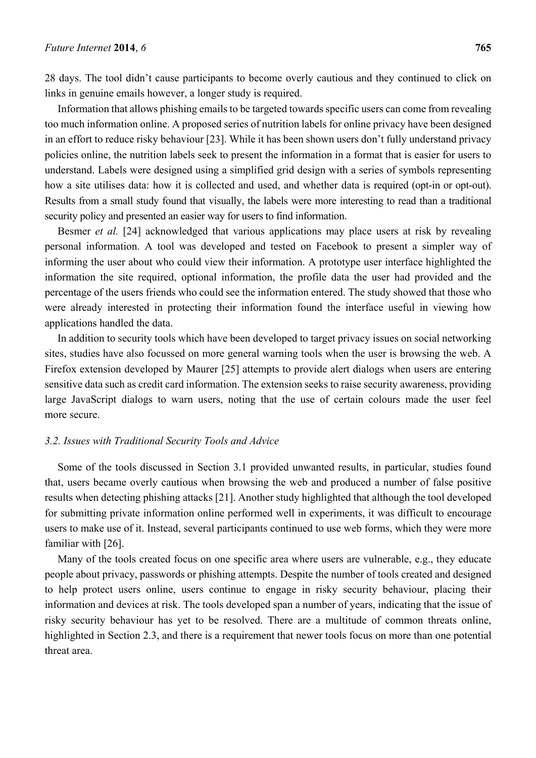28 days. The tool didn't cause participants to become overly cautious and they continued to click on links in genuine emails however, a longer study is required.

Information that allows phishing emails to be targeted towards specific users can come from revealing too much information online. A proposed series of nutrition labels for online privacy have been designed in an effort to reduce risky behaviour [23]. While it has been shown users don't fully understand privacy policies online, the nutrition labels seek to present the information in a format that is easier for users to understand. Labels were designed using a simplified grid design with a series of symbols representing how a site utilises data: how it is collected and used, and whether data is required (opt-in or opt-out). Results from a small study found that visually, the labels were more interesting to read than a traditional security policy and presented an easier way for users to find information.

Besmer *et al.* [24] acknowledged that various applications may place users at risk by revealing personal information. A tool was developed and tested on Facebook to present a simpler way of informing the user about who could view their information. A prototype user interface highlighted the information the site required, optional information, the profile data the user had provided and the percentage of the users friends who could see the information entered. The study showed that those who were already interested in protecting their information found the interface useful in viewing how applications handled the data.

In addition to security tools which have been developed to target privacy issues on social networking sites, studies have also focussed on more general warning tools when the user is browsing the web. A Firefox extension developed by Maurer [25] attempts to provide alert dialogs when users are entering sensitive data such as credit card information. The extension seeks to raise security awareness, providing large JavaScript dialogs to warn users, noting that the use of certain colours made the user feel more secure.

## *3.2. Issues with Traditional Security Tools and Advice*

Some of the tools discussed in Section 3.1 provided unwanted results, in particular, studies found that, users became overly cautious when browsing the web and produced a number of false positive results when detecting phishing attacks [21]. Another study highlighted that although the tool developed for submitting private information online performed well in experiments, it was difficult to encourage users to make use of it. Instead, several participants continued to use web forms, which they were more familiar with [26].

Many of the tools created focus on one specific area where users are vulnerable, e.g., they educate people about privacy, passwords or phishing attempts. Despite the number of tools created and designed to help protect users online, users continue to engage in risky security behaviour, placing their information and devices at risk. The tools developed span a number of years, indicating that the issue of risky security behaviour has yet to be resolved. There are a multitude of common threats online, highlighted in Section 2.3, and there is a requirement that newer tools focus on more than one potential threat area.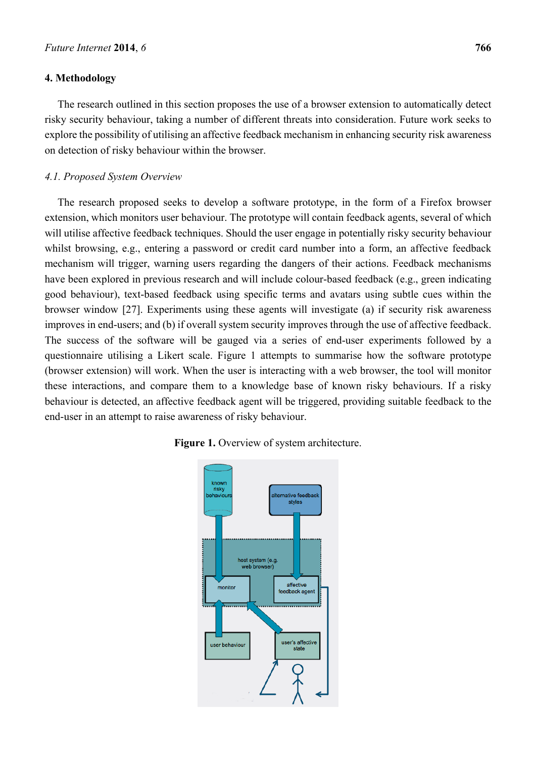## **4. Methodology**

The research outlined in this section proposes the use of a browser extension to automatically detect risky security behaviour, taking a number of different threats into consideration. Future work seeks to explore the possibility of utilising an affective feedback mechanism in enhancing security risk awareness on detection of risky behaviour within the browser.

#### *4.1. Proposed System Overview*

The research proposed seeks to develop a software prototype, in the form of a Firefox browser extension, which monitors user behaviour. The prototype will contain feedback agents, several of which will utilise affective feedback techniques. Should the user engage in potentially risky security behaviour whilst browsing, e.g., entering a password or credit card number into a form, an affective feedback mechanism will trigger, warning users regarding the dangers of their actions. Feedback mechanisms have been explored in previous research and will include colour-based feedback (e.g., green indicating good behaviour), text-based feedback using specific terms and avatars using subtle cues within the browser window [27]. Experiments using these agents will investigate (a) if security risk awareness improves in end-users; and (b) if overall system security improves through the use of affective feedback. The success of the software will be gauged via a series of end-user experiments followed by a questionnaire utilising a Likert scale. Figure 1 attempts to summarise how the software prototype (browser extension) will work. When the user is interacting with a web browser, the tool will monitor these interactions, and compare them to a knowledge base of known risky behaviours. If a risky behaviour is detected, an affective feedback agent will be triggered, providing suitable feedback to the end-user in an attempt to raise awareness of risky behaviour.



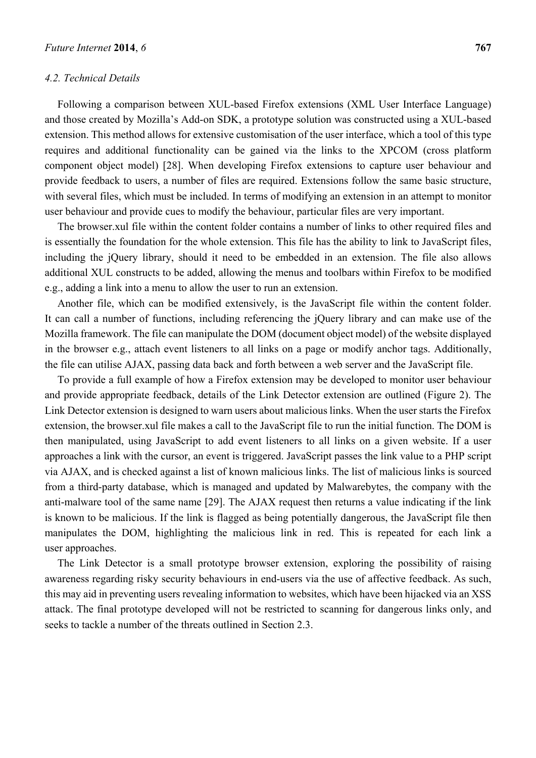## *4.2. Technical Details*

Following a comparison between XUL-based Firefox extensions (XML User Interface Language) and those created by Mozilla's Add-on SDK, a prototype solution was constructed using a XUL-based extension. This method allows for extensive customisation of the user interface, which a tool of this type requires and additional functionality can be gained via the links to the XPCOM (cross platform component object model) [28]. When developing Firefox extensions to capture user behaviour and provide feedback to users, a number of files are required. Extensions follow the same basic structure, with several files, which must be included. In terms of modifying an extension in an attempt to monitor user behaviour and provide cues to modify the behaviour, particular files are very important.

The browser.xul file within the content folder contains a number of links to other required files and is essentially the foundation for the whole extension. This file has the ability to link to JavaScript files, including the jQuery library, should it need to be embedded in an extension. The file also allows additional XUL constructs to be added, allowing the menus and toolbars within Firefox to be modified e.g., adding a link into a menu to allow the user to run an extension.

Another file, which can be modified extensively, is the JavaScript file within the content folder. It can call a number of functions, including referencing the jQuery library and can make use of the Mozilla framework. The file can manipulate the DOM (document object model) of the website displayed in the browser e.g., attach event listeners to all links on a page or modify anchor tags. Additionally, the file can utilise AJAX, passing data back and forth between a web server and the JavaScript file.

To provide a full example of how a Firefox extension may be developed to monitor user behaviour and provide appropriate feedback, details of the Link Detector extension are outlined (Figure 2). The Link Detector extension is designed to warn users about malicious links. When the user starts the Firefox extension, the browser.xul file makes a call to the JavaScript file to run the initial function. The DOM is then manipulated, using JavaScript to add event listeners to all links on a given website. If a user approaches a link with the cursor, an event is triggered. JavaScript passes the link value to a PHP script via AJAX, and is checked against a list of known malicious links. The list of malicious links is sourced from a third-party database, which is managed and updated by Malwarebytes, the company with the anti-malware tool of the same name [29]. The AJAX request then returns a value indicating if the link is known to be malicious. If the link is flagged as being potentially dangerous, the JavaScript file then manipulates the DOM, highlighting the malicious link in red. This is repeated for each link a user approaches.

The Link Detector is a small prototype browser extension, exploring the possibility of raising awareness regarding risky security behaviours in end-users via the use of affective feedback. As such, this may aid in preventing users revealing information to websites, which have been hijacked via an XSS attack. The final prototype developed will not be restricted to scanning for dangerous links only, and seeks to tackle a number of the threats outlined in Section 2.3.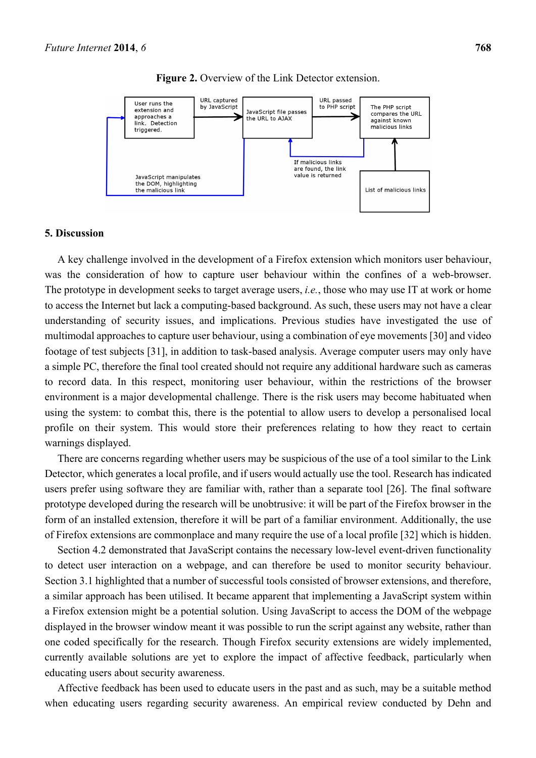

**Figure 2.** Overview of the Link Detector extension.

#### **5. Discussion**

A key challenge involved in the development of a Firefox extension which monitors user behaviour, was the consideration of how to capture user behaviour within the confines of a web-browser. The prototype in development seeks to target average users, *i.e.*, those who may use IT at work or home to access the Internet but lack a computing-based background. As such, these users may not have a clear understanding of security issues, and implications. Previous studies have investigated the use of multimodal approaches to capture user behaviour, using a combination of eye movements [30] and video footage of test subjects [31], in addition to task-based analysis. Average computer users may only have a simple PC, therefore the final tool created should not require any additional hardware such as cameras to record data. In this respect, monitoring user behaviour, within the restrictions of the browser environment is a major developmental challenge. There is the risk users may become habituated when using the system: to combat this, there is the potential to allow users to develop a personalised local profile on their system. This would store their preferences relating to how they react to certain warnings displayed.

There are concerns regarding whether users may be suspicious of the use of a tool similar to the Link Detector, which generates a local profile, and if users would actually use the tool. Research has indicated users prefer using software they are familiar with, rather than a separate tool [26]. The final software prototype developed during the research will be unobtrusive: it will be part of the Firefox browser in the form of an installed extension, therefore it will be part of a familiar environment. Additionally, the use of Firefox extensions are commonplace and many require the use of a local profile [32] which is hidden.

Section 4.2 demonstrated that JavaScript contains the necessary low-level event-driven functionality to detect user interaction on a webpage, and can therefore be used to monitor security behaviour. Section 3.1 highlighted that a number of successful tools consisted of browser extensions, and therefore, a similar approach has been utilised. It became apparent that implementing a JavaScript system within a Firefox extension might be a potential solution. Using JavaScript to access the DOM of the webpage displayed in the browser window meant it was possible to run the script against any website, rather than one coded specifically for the research. Though Firefox security extensions are widely implemented, currently available solutions are yet to explore the impact of affective feedback, particularly when educating users about security awareness.

Affective feedback has been used to educate users in the past and as such, may be a suitable method when educating users regarding security awareness. An empirical review conducted by Dehn and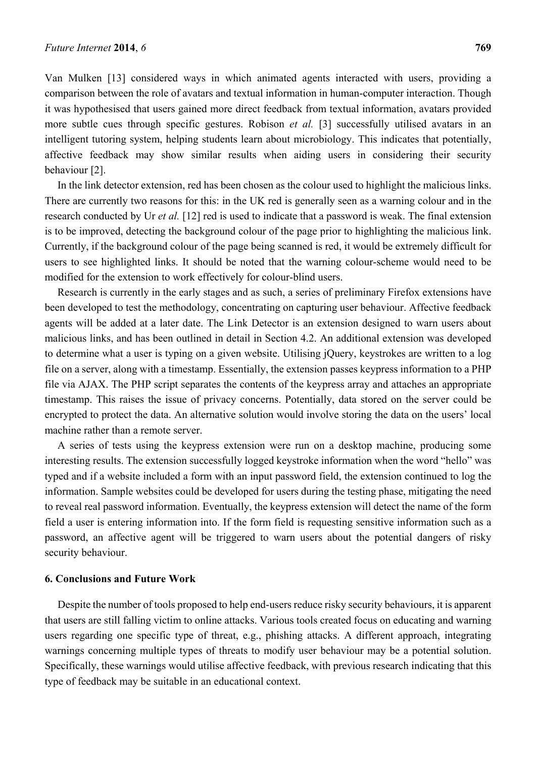Van Mulken [13] considered ways in which animated agents interacted with users, providing a comparison between the role of avatars and textual information in human-computer interaction. Though it was hypothesised that users gained more direct feedback from textual information, avatars provided more subtle cues through specific gestures. Robison *et al.* [3] successfully utilised avatars in an intelligent tutoring system, helping students learn about microbiology. This indicates that potentially, affective feedback may show similar results when aiding users in considering their security behaviour [2].

In the link detector extension, red has been chosen as the colour used to highlight the malicious links. There are currently two reasons for this: in the UK red is generally seen as a warning colour and in the research conducted by Ur *et al.* [12] red is used to indicate that a password is weak. The final extension is to be improved, detecting the background colour of the page prior to highlighting the malicious link. Currently, if the background colour of the page being scanned is red, it would be extremely difficult for users to see highlighted links. It should be noted that the warning colour-scheme would need to be modified for the extension to work effectively for colour-blind users.

Research is currently in the early stages and as such, a series of preliminary Firefox extensions have been developed to test the methodology, concentrating on capturing user behaviour. Affective feedback agents will be added at a later date. The Link Detector is an extension designed to warn users about malicious links, and has been outlined in detail in Section 4.2. An additional extension was developed to determine what a user is typing on a given website. Utilising jQuery, keystrokes are written to a log file on a server, along with a timestamp. Essentially, the extension passes keypress information to a PHP file via AJAX. The PHP script separates the contents of the keypress array and attaches an appropriate timestamp. This raises the issue of privacy concerns. Potentially, data stored on the server could be encrypted to protect the data. An alternative solution would involve storing the data on the users' local machine rather than a remote server.

A series of tests using the keypress extension were run on a desktop machine, producing some interesting results. The extension successfully logged keystroke information when the word "hello" was typed and if a website included a form with an input password field, the extension continued to log the information. Sample websites could be developed for users during the testing phase, mitigating the need to reveal real password information. Eventually, the keypress extension will detect the name of the form field a user is entering information into. If the form field is requesting sensitive information such as a password, an affective agent will be triggered to warn users about the potential dangers of risky security behaviour.

## **6. Conclusions and Future Work**

Despite the number of tools proposed to help end-users reduce risky security behaviours, it is apparent that users are still falling victim to online attacks. Various tools created focus on educating and warning users regarding one specific type of threat, e.g., phishing attacks. A different approach, integrating warnings concerning multiple types of threats to modify user behaviour may be a potential solution. Specifically, these warnings would utilise affective feedback, with previous research indicating that this type of feedback may be suitable in an educational context.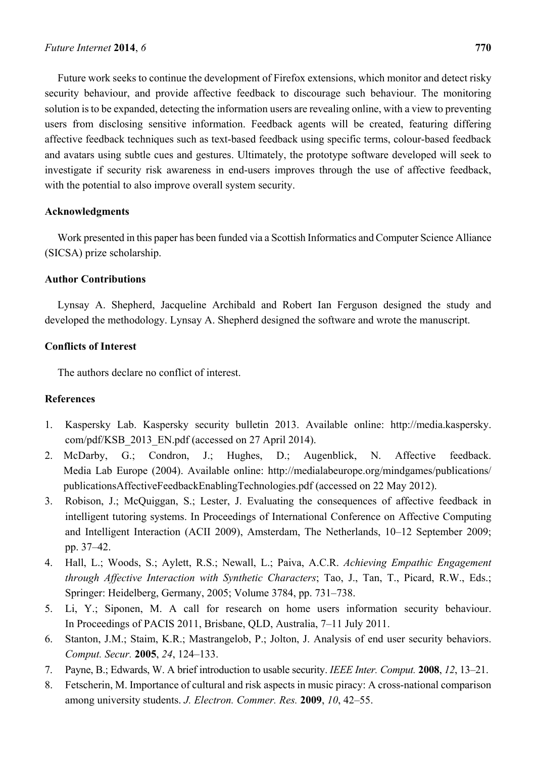Future work seeks to continue the development of Firefox extensions, which monitor and detect risky security behaviour, and provide affective feedback to discourage such behaviour. The monitoring solution is to be expanded, detecting the information users are revealing online, with a view to preventing users from disclosing sensitive information. Feedback agents will be created, featuring differing affective feedback techniques such as text-based feedback using specific terms, colour-based feedback and avatars using subtle cues and gestures. Ultimately, the prototype software developed will seek to investigate if security risk awareness in end-users improves through the use of affective feedback, with the potential to also improve overall system security.

# **Acknowledgments**

Work presented in this paper has been funded via a Scottish Informatics and Computer Science Alliance (SICSA) prize scholarship.

## **Author Contributions**

Lynsay A. Shepherd, Jacqueline Archibald and Robert Ian Ferguson designed the study and developed the methodology. Lynsay A. Shepherd designed the software and wrote the manuscript.

# **Conflicts of Interest**

The authors declare no conflict of interest.

## **References**

- 1. Kaspersky Lab. Kaspersky security bulletin 2013. Available online: http://media.kaspersky. com/pdf/KSB\_2013\_EN.pdf (accessed on 27 April 2014).
- 2. McDarby, G.; Condron, J.; Hughes, D.; Augenblick, N. Affective feedback. Media Lab Europe (2004). Available online: http://medialabeurope.org/mindgames/publications/ publicationsAffectiveFeedbackEnablingTechnologies.pdf (accessed on 22 May 2012).
- 3. Robison, J.; McQuiggan, S.; Lester, J. Evaluating the consequences of affective feedback in intelligent tutoring systems. In Proceedings of International Conference on Affective Computing and Intelligent Interaction (ACII 2009), Amsterdam, The Netherlands, 10–12 September 2009; pp. 37–42.
- 4. Hall, L.; Woods, S.; Aylett, R.S.; Newall, L.; Paiva, A.C.R. *Achieving Empathic Engagement through Affective Interaction with Synthetic Characters*; Tao, J., Tan, T., Picard, R.W., Eds.; Springer: Heidelberg, Germany, 2005; Volume 3784, pp. 731–738.
- 5. Li, Y.; Siponen, M. A call for research on home users information security behaviour. In Proceedings of PACIS 2011, Brisbane, QLD, Australia, 7–11 July 2011.
- 6. Stanton, J.M.; Staim, K.R.; Mastrangelob, P.; Jolton, J. Analysis of end user security behaviors. *Comput. Secur.* **2005**, *24*, 124–133.
- 7. Payne, B.; Edwards, W. A brief introduction to usable security. *IEEE Inter. Comput.* **2008**, *12*, 13–21.
- 8. Fetscherin, M. Importance of cultural and risk aspects in music piracy: A cross-national comparison among university students. *J. Electron. Commer. Res.* **2009**, *10*, 42–55.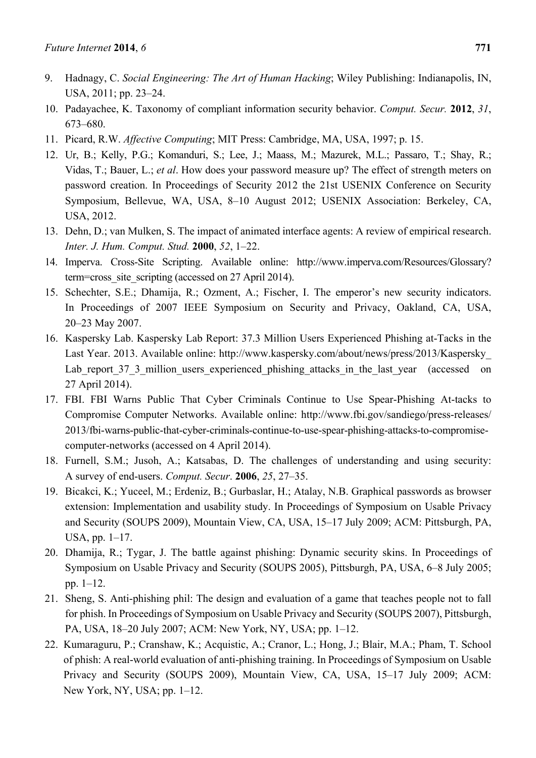- 9. Hadnagy, C. *Social Engineering: The Art of Human Hacking*; Wiley Publishing: Indianapolis, IN, USA, 2011; pp. 23–24.
- 10. Padayachee, K. Taxonomy of compliant information security behavior. *Comput. Secur.* **2012**, *31*, 673–680.
- 11. Picard, R.W. *Affective Computing*; MIT Press: Cambridge, MA, USA, 1997; p. 15.
- 12. Ur, B.; Kelly, P.G.; Komanduri, S.; Lee, J.; Maass, M.; Mazurek, M.L.; Passaro, T.; Shay, R.; Vidas, T.; Bauer, L.; *et al*. How does your password measure up? The effect of strength meters on password creation. In Proceedings of Security 2012 the 21st USENIX Conference on Security Symposium, Bellevue, WA, USA, 8–10 August 2012; USENIX Association: Berkeley, CA, USA, 2012.
- 13. Dehn, D.; van Mulken, S. The impact of animated interface agents: A review of empirical research. *Inter. J. Hum. Comput. Stud.* **2000**, *52*, 1–22.
- 14. Imperva. Cross-Site Scripting. Available online: http://www.imperva.com/Resources/Glossary? term=cross\_site\_scripting (accessed on 27 April 2014).
- 15. Schechter, S.E.; Dhamija, R.; Ozment, A.; Fischer, I. The emperor's new security indicators. In Proceedings of 2007 IEEE Symposium on Security and Privacy, Oakland, CA, USA, 20–23 May 2007.
- 16. Kaspersky Lab. Kaspersky Lab Report: 37.3 Million Users Experienced Phishing at-Tacks in the Last Year. 2013. Available online: http://www.kaspersky.com/about/news/press/2013/Kaspersky\_ Lab report 37\_3 million users experienced phishing attacks in the last year (accessed on 27 April 2014).
- 17. FBI. FBI Warns Public That Cyber Criminals Continue to Use Spear-Phishing At-tacks to Compromise Computer Networks. Available online: http://www.fbi.gov/sandiego/press-releases/ 2013/fbi-warns-public-that-cyber-criminals-continue-to-use-spear-phishing-attacks-to-compromisecomputer-networks (accessed on 4 April 2014).
- 18. Furnell, S.M.; Jusoh, A.; Katsabas, D. The challenges of understanding and using security: A survey of end-users. *Comput. Secur*. **2006**, *25*, 27–35.
- 19. Bicakci, K.; Yuceel, M.; Erdeniz, B.; Gurbaslar, H.; Atalay, N.B. Graphical passwords as browser extension: Implementation and usability study. In Proceedings of Symposium on Usable Privacy and Security (SOUPS 2009), Mountain View, CA, USA, 15–17 July 2009; ACM: Pittsburgh, PA, USA, pp. 1–17.
- 20. Dhamija, R.; Tygar, J. The battle against phishing: Dynamic security skins. In Proceedings of Symposium on Usable Privacy and Security (SOUPS 2005), Pittsburgh, PA, USA, 6–8 July 2005; pp. 1–12.
- 21. Sheng, S. Anti-phishing phil: The design and evaluation of a game that teaches people not to fall for phish. In Proceedings of Symposium on Usable Privacy and Security (SOUPS 2007), Pittsburgh, PA, USA, 18–20 July 2007; ACM: New York, NY, USA; pp. 1–12.
- 22. Kumaraguru, P.; Cranshaw, K.; Acquistic, A.; Cranor, L.; Hong, J.; Blair, M.A.; Pham, T. School of phish: A real-world evaluation of anti-phishing training. In Proceedings of Symposium on Usable Privacy and Security (SOUPS 2009), Mountain View, CA, USA, 15–17 July 2009; ACM: New York, NY, USA; pp. 1–12.